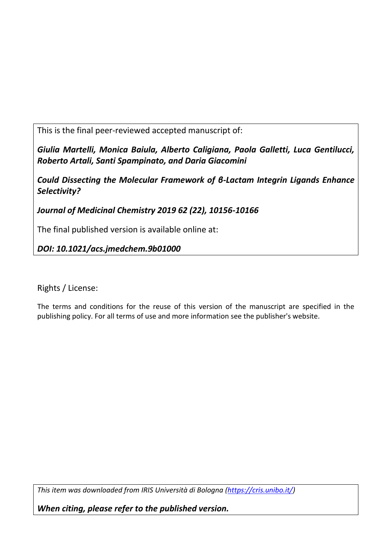This is the final peer-reviewed accepted manuscript of:

*Giulia Martelli, Monica Baiula, Alberto Caligiana, Paola Galletti, Luca Gentilucci, Roberto Artali, Santi Spampinato, and Daria Giacomini*

*Could Dissecting the Molecular Framework of β-Lactam Integrin Ligands Enhance Selectivity?*

*Journal of Medicinal Chemistry 2019 62 (22), 10156-10166*

The final published version is available online at:

*DOI: 10.1021/acs.jmedchem.9b01000*

Rights / License:

The terms and conditions for the reuse of this version of the manuscript are specified in the publishing policy. For all terms of use and more information see the publisher's website.

*This item was downloaded from IRIS Università di Bologna [\(https://cris.unibo.it/\)](https://cris.unibo.it/)*

*When citing, please refer to the published version.*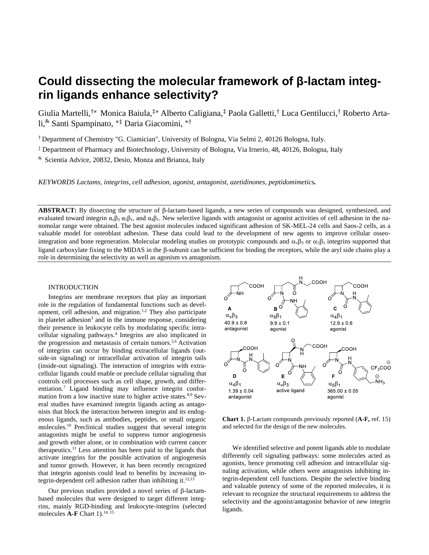# **Could dissecting the molecular framework of β-lactam integrin ligands enhance selectivity?**

Giulia Martelli,†≠ Monica Baiula,‡≠ Alberto Caligiana,‡ Paola Galletti,† Luca Gentilucci,† Roberto Artali,& Santi Spampinato, \* ‡ Daria Giacomini, \* †

† Department of Chemistry "G. Ciamician", University of Bologna, Via Selmi 2, 40126 Bologna, Italy.

‡ Department of Pharmacy and Biotechnology, University of Bologna, Via Irnerio, 48, 40126, Bologna, Italy

& Scientia Advice, 20832, Desio, Monza and Brianza, Italy

*KEYWORDS Lactams, integrins, cell adhesion, agonist, antagonist, azetidinones, peptidomimetics.*

**ABSTRACT:** By dissecting the structure of  $\beta$ -lactam-based ligands, a new series of compounds was designed, synthesized, and evaluated toward integrin  $\alpha_{\nu}\beta_3 \alpha_5\beta_1$ , and  $\alpha_4\beta_1$ . New selective ligands with antagonist or agonist activities of cell adhesion in the nanomolar range were obtained. The best agonist molecules induced significant adhesion of SK-MEL-24 cells and Saos-2 cells, as a valuable model for osteoblast adhesion. These data could lead to the development of new agents to improve cellular osseointegration and bone regeneration. Molecular modeling studies on prototypic compounds and  $\alpha_v\beta_3$  or  $\alpha_5\beta_1$  integrins supported that ligand carboxylate fixing to the MIDAS in the  $\beta$ -subunit can be sufficient for binding the receptors, while the aryl side chains play a role in determining the selectivity as well as agonism vs antagonism.

#### INTRODUCTION

Integrins are membrane receptors that play an important role in the regulation of fundamental functions such as development, cell adhesion, and migration.<sup>1,2</sup> They also participate in platelet adhesion<sup>3</sup> and in the immune response, considering their presence in leukocyte cells by modulating specific intracellular signaling pathways. 4 Integrins are also implicated in the progression and metastasis of certain tumors. 5,6 Activation of integrins can occur by binding extracellular ligands (outside-in signaling) or intracellular activation of integrin tails (inside-out signaling). The interaction of integrins with extracellular ligands could enable or preclude cellular signaling that controls cell processes such as cell shape, growth, and differentiation.<sup>7</sup> Ligand binding may influence integrin conformation from a low inactive state to higher active states. $8.9$  Several studies have examined integrin ligands acting as antagonists that block the interaction between integrin and its endogenous ligands, such as antibodies, peptides, or small organic molecules. <sup>10</sup> Preclinical studies suggest that several integrin antagonists might be useful to suppress tumor angiogenesis and growth either alone, or in combination with current cancer therapeutics.<sup>11</sup> Less attention has been paid to the ligands that activate integrins for the possible activation of angiogenesis and tumor growth. However, it has been recently recognized that integrin agonists could lead to benefits by increasing integrin-dependent cell adhesion rather than inhibiting it.<sup>12,13</sup>

Our previous studies provided a novel series of  $\beta$ -lactambased molecules that were designed to target different integrins, mainly RGD-binding and leukocyte-integrins (selected molecules  $\mathbf{A}\text{-}\mathbf{F}$  Chart 1).<sup>14, 15</sup>



Chart 1.  $\beta$ -Lactam compounds previously reported (A-F, ref. 15) and selected for the design of the new molecules.

We identified selective and potent ligands able to modulate differently cell signaling pathways: some molecules acted as agonists, hence promoting cell adhesion and intracellular signaling activation, while others were antagonists inhibiting integrin-dependent cell functions. Despite the selective binding and valuable potency of some of the reported molecules, it is relevant to recognize the structural requirements to address the selectivity and the agonist/antagonist behavior of new integrin ligands.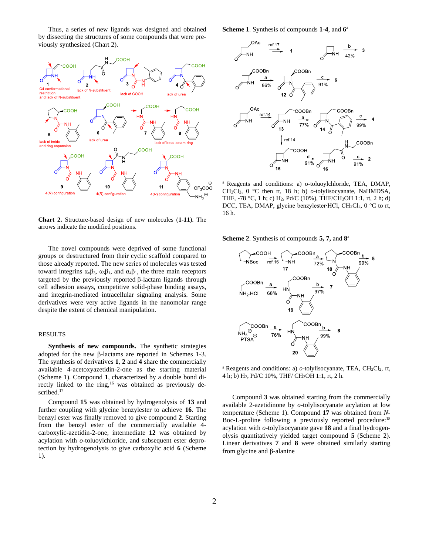Thus, a series of new ligands was designed and obtained by dissecting the structures of some compounds that were previously synthesized (Chart 2).



**Chart 2.** Structure-based design of new molecules (**1-11**). The arrows indicate the modified positions.

The novel compounds were deprived of some functional groups or destructured from their cyclic scaffold compared to those already reported. The new series of molecules was tested toward integrins  $\alpha$ <sub>ν</sub> $\beta$ <sub>3</sub>,  $\alpha$ <sub>5</sub> $\beta$ <sub>1</sub>, and  $\alpha$ <sub>4</sub> $\beta$ <sub>1</sub>, the three main receptors targeted by the previously reported B-lactam ligands through cell adhesion assays, competitive solid-phase binding assays, and integrin-mediated intracellular signaling analysis. Some derivatives were very active ligands in the nanomolar range despite the extent of chemical manipulation.

#### RESULTS

**Synthesis of new compounds.** The synthetic strategies adopted for the new  $\beta$ -lactams are reported in Schemes 1-3. The synthesis of derivatives **1**, **2** and **4** share the commercially available 4-acetoxyazetidin-2-one as the starting material (Scheme 1). Compound **1**, characterized by a double bond directly linked to the ring,<sup>16</sup> was obtained as previously described.<sup>17</sup>

Compound **15** was obtained by hydrogenolysis of **13** and further coupling with glycine benzylester to achieve **16**. The benzyl ester was finally removed to give compound **2**. Starting from the benzyl ester of the commercially available 4 carboxylic-azetidin-2-one, intermediate **12** was obtained by acylation with *o*-toluoylchloride, and subsequent ester deprotection by hydrogenolysis to give carboxylic acid **6** (Scheme 1).

**Scheme 1**. Synthesis of compounds **1**-**4**, and **6** a



<sup>a</sup> Reagents and conditions: a) o-toluoylchloride, TEA, DMAP, CH2Cl2, 0 °C then rt, 18 h; b) *o*-tolylisocyanate, NaHMDSA, THF, -78 °C, 1 h; c) H2, Pd/C (10%), THF/CH3OH 1:1, rt, 2 h; d) DCC, TEA, DMAP, glycine benzylester∙HCl, CH2Cl2, 0 °C to rt, 16 h.

**Scheme 2**. Synthesis of compounds **5, 7,** and **8** a



<sup>a</sup> Reagents and conditions: a)  $o$ -tolylisocyanate, TEA, CH<sub>2</sub>Cl<sub>2</sub>, rt, 4 h; b) H2, Pd/C 10%, THF/ CH3OH 1:1, rt, 2 h.

Compound **3** was obtained starting from the commercially available 2-azetidinone by *o*-tolylisocyanate acylation at low temperature (Scheme 1). Compound **17** was obtained from *N*-Boc-L-proline following a previously reported procedure:<sup>18</sup> acylation with *o*-tolylisocyanate gave **18** and a final hydrogenolysis quantitatively yielded target compound **5** (Scheme 2). Linear derivatives **7** and **8** were obtained similarly starting from glycine and  $\beta$ -alanine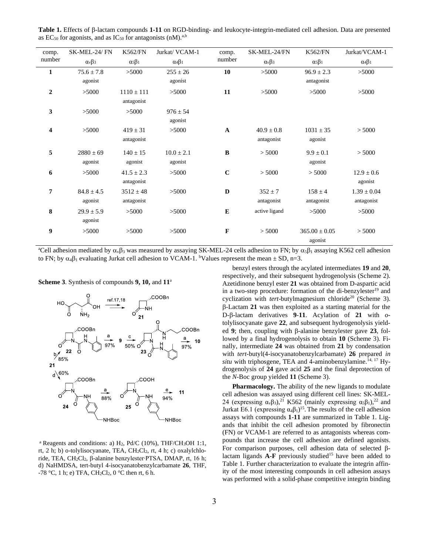| comp.            | SK-MEL-24/FN      | <b>K562/FN</b>    | Jurkat/ VCAM-1    | comp.        | SK-MEL-24/FN      | <b>K562/FN</b>    | Jurkat/VCAM-1     |
|------------------|-------------------|-------------------|-------------------|--------------|-------------------|-------------------|-------------------|
| number           | $\alpha_v\beta_3$ | $\alpha_5\beta_1$ | $\alpha_4\beta_1$ | number       | $\alpha_v\beta_3$ | $\alpha_5\beta_1$ | $\alpha_4\beta_1$ |
| 1                | $75.6 \pm 7.8$    | >5000             | $255 \pm 26$      | 10           | >5000             | $96.9 \pm 2.3$    | >5000             |
|                  | agonist           |                   | agonist           |              |                   | antagonist        |                   |
| $\boldsymbol{2}$ | >5000             | $1110 \pm 111$    | >5000             | 11           | >5000             | >5000             | >5000             |
|                  |                   | antagonist        |                   |              |                   |                   |                   |
| 3                | >5000             | >5000             | $976 \pm 54$      |              |                   |                   |                   |
|                  |                   |                   | agonist           |              |                   |                   |                   |
| 4                | >5000             | $419 \pm 31$      | >5000             | $\mathbf{A}$ | $40.9 \pm 0.8$    | $1031 \pm 35$     | > 5000            |
|                  |                   | antagonist        |                   |              | antagonist        | agonist           |                   |
| 5                | $2880 \pm 69$     | $140 \pm 15$      | $10.0 \pm 2.1$    | B            | > 5000            | $9.9 \pm 0.1$     | > 5000            |
|                  | agonist           | agonist           | agonist           |              |                   | agonist           |                   |
| 6                | >5000             | $41.5 \pm 2.3$    | >5000             | $\mathbf C$  | > 5000            | > 5000            | $12.9 \pm 0.6$    |
|                  |                   | antagonist        |                   |              |                   |                   | agonist           |
| 7                | $84.8 \pm 4.5$    | $3512 \pm 48$     | >5000             | $\mathbf D$  | $352 \pm 7$       | $158 \pm 4$       | $1.39 \pm 0.04$   |
|                  | agonist           | antagonist        |                   |              | antagonist        | antagonist        | antagonist        |
| 8                | $29.9 \pm 5.9$    | >5000             | >5000             | E            | active ligand     | >5000             | >5000             |
|                  | agonist           |                   |                   |              |                   |                   |                   |
| 9                | >5000             | >5000             | >5000             | $\mathbf F$  | > 5000            | $365.00 \pm 0.05$ | > 5000            |
|                  |                   |                   |                   |              |                   | agonist           |                   |

Table 1. Effects of  $\beta$ -lactam compounds 1-11 on RGD-binding- and leukocyte-integrin-mediated cell adhesion. Data are presented as  $EC_{50}$  for agonists, and as  $IC_{50}$  for antagonists (nM).<sup>a,b</sup>

<sup>a</sup>Cell adhesion mediated by  $\alpha_{\nu} \beta_3$  was measured by assaying SK-MEL-24 cells adhesion to FN; by  $\alpha_5 \beta_1$  assaying K562 cell adhesion to FN; by  $\alpha_4\beta_1$  evaluating Jurkat cell adhesion to VCAM-1. <sup>b</sup>Values represent the mean  $\pm$  SD, n=3.

**Scheme 3**. Synthesis of compounds **9, 10,** and **11**<sup>a</sup>



<sup>a</sup> Reagents and conditions: a)  $H_2$ , Pd/C (10%), THF/CH<sub>3</sub>OH 1:1, rt, 2 h; b) o-tolylisocyanate, TEA, CH2Cl2, rt, 4 h; c) oxalylchloride, TEA, CH2Cl2, β-alanine benzylester∙PTSA, DMAP, rt, 16 h; d) NaHMDSA, tert-butyl 4-isocyanatobenzylcarbamate **26**, THF, -78 °C, 1 h; e) TFA, CH<sub>2</sub>Cl<sub>2</sub>, 0 °C then rt, 6 h.

3

benzyl esters through the acylated intermediates **19** and **20**, respectively, and their subsequent hydrogenolysis (Scheme 2). Azetidinone benzyl ester **21** was obtained from D-aspartic acid in a two-step procedure: formation of the di-benzylester<sup>19</sup> and cyclization with *tert*-butylmagnesium chloride<sup>20</sup> (Scheme 3). -Lactam **21** was then exploited as a starting material for the D--lactam derivatives **9**-**11**. Acylation of **21** with *o*tolylisocyanate gave **22**, and subsequent hydrogenolysis yielded 9; then, coupling with  $\beta$ -alanine benzylester gave 23, followed by a final hydrogenolysis to obtain **10** (Scheme 3). Finally, intermediate **24** was obtained from **21** by condensation with *tert*-butyl(4-isocyanatobenzylcarbamate) **26** prepared *in situ* with triphosgene, TEA and 4-aminobenzylamine.<sup>14, 17</sup> Hydrogenolysis of **24** gave acid **25** and the final deprotection of the *N*-Boc group yielded **11** (Scheme 3).

**Pharmacology.** The ability of the new ligands to modulate cell adhesion was assayed using different cell lines: SK-MEL-24 (expressing  $\alpha_{\nu}\beta_3$ ),<sup>21</sup> K562 (mainly expressing  $\alpha_5\beta_1$ ),<sup>22</sup> and Jurkat E6.1 (expressing  $\alpha_4\beta_1$ )<sup>15</sup>. The results of the cell adhesion assays with compounds **1**-**11** are summarized in Table 1. Ligands that inhibit the cell adhesion promoted by fibronectin (FN) or VCAM-1 are referred to as antagonists whereas compounds that increase the cell adhesion are defined agonists. For comparison purposes, cell adhesion data of selected  $\beta$ lactam ligands  $\mathbf{A}\text{-}\mathbf{F}$  previously studied<sup>15</sup> have been added to Table 1. Further characterization to evaluate the integrin affinity of the most interesting compounds in cell adhesion assays was performed with a solid-phase competitive integrin binding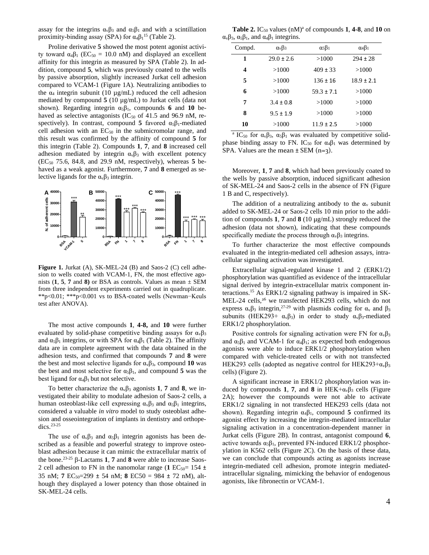assay for the integrins  $\alpha_{\nu}\beta_3$  and  $\alpha_5\beta_1$  and with a scintillation proximity-binding assay (SPA) for  $\alpha_4\beta_1^{15}$  (Table 2).

Proline derivative **5** showed the most potent agonist activity toward  $α_4β_1$  (EC<sub>50</sub> = 10.0 nM) and displayed an excellent affinity for this integrin as measured by SPA (Table 2). In addition, compound **5**, which was previously coated to the wells by passive absorption, slightly increased Jurkat cell adhesion compared to VCAM-1 (Figure 1A). Neutralizing antibodies to the  $\alpha_4$  integrin subunit (10  $\mu$ g/mL) reduced the cell adhesion mediated by compound **5** (10 µg/mL) to Jurkat cells (data not shown). Regarding integrin α5β1, compounds **6** and **10** behaved as selective antagonists ( $IC_{50}$  of 41.5 and 96.9 nM, respectively). In contrast, compound **5** favored  $\alpha_5\beta_1$ -mediated cell adhesion with an  $EC_{50}$  in the submicromolar range, and this result was confirmed by the affinity of compound **5** for this integrin (Table 2). Compounds **1**, **7**, and **8** increased cell adhesion mediated by integrin  $\alpha_{\nu}\beta_3$  with excellent potency  $(EC_{50}$  75.6, 84.8, and 29.9 nM, respectively), whereas  $5$  behaved as a weak agonist. Furthermore, **7** and **8** emerged as selective ligands for the  $\alpha_{\nu}\beta_3$  integrin.



**Figure 1.** Jurkat (A), SK-MEL-24 (B) and Saos-2 (C) cell adhesion to wells coated with VCAM-1, FN, the most effective agonists  $(1, 5, 7, 7)$  and 8 or BSA as controls. Values as mean  $\pm$  SEM from three independent experiments carried out in quadruplicate. \*\*p<0.01; \*\*\*p<0.001 vs to BSA-coated wells (Newman−Keuls test after ANOVA).

The most active compounds **1**, **4-8,** and **10** were further evaluated by solid-phase competitive binding assays for  $\alpha_{\nu}\beta_3$ and  $\alpha_5\beta_1$  integrins, or with SPA for  $\alpha_4\beta_1$  (Table 2). The affinity data are in complete agreement with the data obtained in the adhesion tests, and confirmed that compounds **7** and **8** were the best and most selective ligands for  $\alpha_{\nu}\beta_3$ , compound 10 was the best and most selective for  $\alpha_5\beta_1$ , and compound **5** was the best ligand for  $\alpha_4\beta_1$  but not selective.

To better characterize the  $\alpha_v \beta_3$  agonists **1**, **7** and **8**, we investigated their ability to modulate adhesion of Saos-2 cells, a human osteoblast-like cell expressing  $α<sub>v</sub>β<sub>3</sub>$  and  $α<sub>5</sub>β<sub>1</sub>$  integrins, considered a valuable *in vitro* model to study osteoblast adhesion and osseointegration of implants in dentistry and orthopedics. $23-25$ 

The use of  $\alpha_{\nu}\beta_3$  and  $\alpha_5\beta_1$  integrin agonists has been described as a feasible and powerful strategy to improve osteoblast adhesion because it can mimic the extracellular matrix of the bone.<sup>23-25</sup>  $\beta$ -Lactams **1**, **7** and **8** were able to increase Saos-2 cell adhesion to FN in the nanomolar range (1  $EC_{50}$ = 154 ± 35 nM; **7** EC50=299 ± 54 nM; **8** EC50 = 984 ± 72 nM), although they displayed a lower potency than those obtained in SK-MEL-24 cells.

**Table 2.** IC<sub>50</sub> values  $(nM)^{a}$  of compounds **1, 4-8**, and **10** on α<sub>v</sub> $β_3$ , α<sub>5</sub> $β_1$ , and α<sub>4</sub> $β_1$  integrins.

| Compd. | $\alpha_v\beta_3$ | $\alpha_5\beta_1$ | $\alpha_4\beta_1$ |  |
|--------|-------------------|-------------------|-------------------|--|
| 1      | $29.0 \pm 2.6$    | >1000             | $294 \pm 28$      |  |
| 4      | >1000             | $409 \pm 33$      | >1000             |  |
| 5      | >1000             | $136 \pm 16$      | $18.9 \pm 2.1$    |  |
| 6      | >1000             | $59.3 \pm 7.1$    | >1000             |  |
| 7      | $3.4 \pm 0.8$     | >1000             | >1000             |  |
| 8      | $9.5 \pm 1.9$     | >1000             | >1000             |  |
| 10     | >1000             | $11.9 \pm 2.5$    | >1000             |  |

<sup>a</sup> IC<sub>50</sub> for  $\alpha_v\beta_3$ ,  $\alpha_5\beta_1$  was evaluated by competitive solidphase binding assay to FN. IC<sub>50</sub> for  $\alpha_4\beta_1$  was determined by SPA. Values are the mean  $\pm$  SEM (n=3).

Moreover, **1**, **7** and **8**, which had been previously coated to the wells by passive absorption, induced significant adhesion of SK-MEL-24 and Saos-2 cells in the absence of FN (Figure 1 B and C, respectively).

The addition of a neutralizing antibody to the  $\alpha_v$  subunit added to SK-MEL-24 or Saos-2 cells 10 min prior to the addition of compounds **1**, **7** and **8** (10 µg/mL) strongly reduced the adhesion (data not shown), indicating that these compounds specifically mediate the process through  $\alpha_{\nu}\beta_3$  integrins.

To further characterize the most effective compounds evaluated in the integrin-mediated cell adhesion assays, intracellular signaling activation was investigated.

Extracellular signal-regulated kinase 1 and 2 (ERK1/2) phosphorylation was quantified as evidence of the intracellular signal derived by integrin-extracellular matrix component interactions.<sup>15</sup> As ERK1/2 signaling pathway is impaired in SK-MEL-24 cells,<sup>26</sup> we transfected HEK293 cells, which do not express  $\alpha_v \beta_3$  integrin,<sup>27-29</sup> with plasmids coding for  $\alpha_v$  and  $\beta_3$ subunits (HEK293+  $\alpha_v\beta_3$ ) in order to study  $\alpha_v\beta_3$ -mediated ERK1/2 phosphorylation.

Positive controls for signaling activation were FN for  $\alpha_{\nu}\beta_3$ and  $\alpha_5\beta_1$  and VCAM-1 for  $\alpha_4\beta_1$ ; as expected both endogenous agonists were able to induce ERK1/2 phosphorylation when compared with vehicle-treated cells or with not transfected HEK293 cells (adopted as negative control for HEK293+ $\alpha_v\beta_3$ ) cells) (Figure 2).

A significant increase in ERK1/2 phosphorylation was induced by compounds **1**, **7**, and **8** in HEK+ $\alpha_v\beta_3$  cells (Figure 2A); however the compounds were not able to activate ERK1/2 signaling in not transfected HEK293 cells (data not shown). Regarding integrin  $\alpha_4\beta_1$ , compound **5** confirmed its agonist effect by increasing the integrin-mediated intracellular signaling activation in a concentration-dependent manner in Jurkat cells (Figure 2B). In contrast, antagonist compound **6**, active towards  $\alpha_5\beta_1$ , prevented FN-induced ERK1/2 phosphorylation in K562 cells (Figure 2C). On the basis of these data, we can conclude that compounds acting as agonists increase integrin-mediated cell adhesion, promote integrin mediatedintracellular signaling, mimicking the behavior of endogenous agonists, like fibronectin or VCAM-1.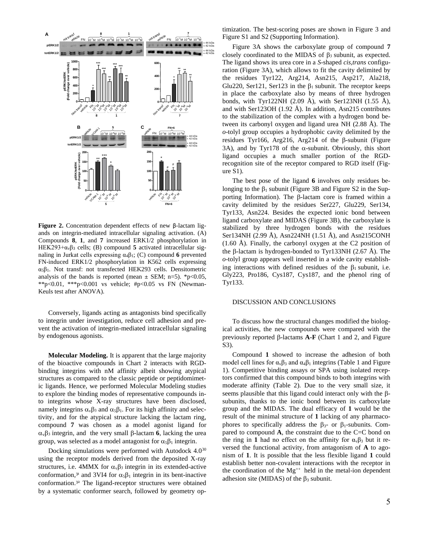

**Figure 2.** Concentration dependent effects of new β-lactam ligands on integrin-mediated intracellular signaling activation. (A) Compounds **8**, **1**, and **7** increased ERK1/2 phosphorylation in HEK293+αvβ<sup>3</sup> cells; (B) compound **5** activated intracellular signaling in Jurkat cells expressing α4β1; (C) compound **6** prevented FN-induced ERK1/2 phosphorylation in K562 cells expressing α5β1. Not transf: not transfected HEK293 cells. Densitometric analysis of the bands is reported (mean  $\pm$  SEM; n=5). \*p<0.05, \*\*p<0.01, \*\*\*p<0.001 vs vehicle; #p<0.05 vs FN (Newman-Keuls test after ANOVA).

Conversely, ligands acting as antagonists bind specifically to integrin under investigation, reduce cell adhesion and prevent the activation of integrin-mediated intracellular signaling by endogenous agonists.

**Molecular Modeling.** It is apparent that the large majority of the bioactive compounds in Chart 2 interacts with RGDbinding integrins with nM affinity albeit showing atypical structures as compared to the classic peptide or peptidomimetic ligands. Hence, we performed Molecular Modeling studies to explore the binding modes of representative compounds into integrins whose X-ray structures have been disclosed, namely integrins  $\alpha_{\nu}\beta_3$  and  $\alpha_5\beta_1$ . For its high affinity and selectivity, and for the atypical structure lacking the lactam ring, compound **7** was chosen as a model agonist ligand for  $\alpha_{\nu} \beta_3$  integrin, and the very small  $\beta$ -lactam **6**, lacking the urea group, was selected as a model antagonist for  $\alpha_5\beta_1$  integrin.

Docking simulations were performed with Autodock 4.0<sup>30</sup> using the receptor models derived from the deposited X-ray structures, i.e. 4MMX for  $\alpha_{v} \beta_3$  integrin in its extended-active conformation,<sup>31</sup> and 3VI4 for  $\alpha_5\beta_1$  integrin in its bent-inactive conformation.<sup>32</sup> The ligand-receptor structures were obtained by a systematic conformer search, followed by geometry optimization. The best-scoring poses are shown in Figure 3 and Figure S1 and S2 (Supporting Information).

Figure 3A shows the carboxylate group of compound **7** closely coordinated to the MIDAS of  $\beta_3$  subunit, as expected. The ligand shows its urea core in a *S*-shaped *cis,trans* configuration (Figure 3A), which allows to fit the cavity delimited by the residues Tyr122, Arg214, Asn215, Asp217, Ala218, Glu220, Ser121, Ser123 in the  $\beta_1$  subunit. The receptor keeps in place the carboxylate also by means of three hydrogen bonds, with Tyr122NH  $(2.09 \text{ Å})$ , with Ser123NH  $(1.55 \text{ Å})$ , and with Ser123OH (1.92 Å). In addition, Asn215 contributes to the stabilization of the complex with a hydrogen bond between its carbonyl oxygen and ligand urea NH (2.88 Å). The *o*-tolyl group occupies a hydrophobic cavity delimited by the residues Tyr166, Arg216, Arg214 of the  $\beta$ -subunit (Figure 3A), and by Tyr178 of the  $\alpha$ -subunit. Obviously, this short ligand occupies a much smaller portion of the RGDrecognition site of the receptor compared to RGD itself (Fig $ure S1$ ).

The best pose of the ligand **6** involves only residues belonging to the  $\beta_1$  subunit (Figure 3B and Figure S2 in the Supporting Information). The  $\beta$ -lactam core is framed within a cavity delimited by the residues Ser227, Glu229, Ser134, Tyr133, Asn224. Besides the expected ionic bond between ligand carboxylate and MIDAS (Figure 3B), the carboxylate is stabilized by three hydrogen bonds with the residues Ser134NH (2.99 Å), Asn224NH (1.51 Å), and Asn215CONH (1.60 Å). Finally, the carbonyl oxygen at the C2 position of the  $\beta$ -lactam is hydrogen-bonded to Tyr133NH (2.67 Å). The *o*-tolyl group appears well inserted in a wide cavity establishing interactions with defined residues of the  $\beta_1$  subunit, i.e. Gly223, Pro186, Cys187, Cys187, and the phenol ring of Tyr133.

#### DISCUSSION AND CONCLUSIONS

To discuss how the structural changes modified the biological activities, the new compounds were compared with the previously reported  $\beta$ -lactams  $A-F$  (Chart 1 and 2, and Figure S3).

Compound **1** showed to increase the adhesion of both model cell lines for  $\alpha_{\nu}\beta_3$  and  $\alpha_4\beta_1$  integrins (Table 1 and Figure 1). Competitive binding assays or SPA using isolated receptors confirmed that this compound binds to both integrins with moderate affinity (Table 2). Due to the very small size, it seems plausible that this ligand could interact only with the  $\beta$ subunits, thanks to the ionic bond between its carboxylate group and the MIDAS. The dual efficacy of **1** would be the result of the minimal structure of **1** lacking of any pharmacophores to specifically address the  $\beta_3$ - or  $\beta_1$ -subunits. Compared to compound **A**, the constraint due to the C=C bond on the ring in 1 had no effect on the affinity for  $\alpha_{\nu}\beta_3$  but it reversed the functional activity, from antagonism of **A** to agonism of **1**. It is possible that the less flexible ligand **1** could establish better non-covalent interactions with the receptor in the coordination of the  $Mg^{++}$  held in the metal-ion dependent adhesion site (MIDAS) of the  $\beta_3$  subunit.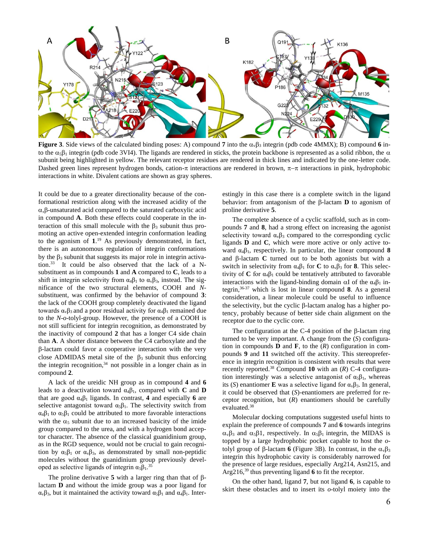

**Figure 3**. Side views of the calculated binding poses: A) compound 7 into the  $\alpha_{\nu}\beta_3$  integrin (pdb code 4MMX); B) compound 6 into the  $\alpha_5\beta_1$  integrin (pdb code 3VI4). The ligands are rendered in sticks, the protein backbone is represented as a solid ribbon, the  $\alpha$ subunit being highlighted in yellow. The relevant receptor residues are rendered in thick lines and indicated by the one-letter code. Dashed green lines represent hydrogen bonds, cation- $\pi$  interactions are rendered in brown,  $\pi-\pi$  interactions in pink, hydrophobic interactions in white. Divalent cations are shown as gray spheres.

It could be due to a greater directionality because of the conformational restriction along with the increased acidity of the  $\alpha,\beta$ -unsaturated acid compared to the saturated carboxylic acid in compound **A**. Both these effects could cooperate in the interaction of this small molecule with the  $\beta_3$  subunit thus promoting an active open-extended integrin conformation leading to the agonism of **1**. <sup>19</sup> As previously demonstrated, in fact, there is an autonomous regulation of integrin conformations by the  $\beta_3$  subunit that suggests its major role in integrin activation.<sup>33</sup> It could be also observed that the lack of a Nsubstituent as in compounds **1** and **A** compared to **C**, leads to a shift in integrin selectivity from  $\alpha_4\beta_1$  to  $\alpha_5\beta_3$ , instead. The significance of the two structural elements, COOH and *N*substituent, was confirmed by the behavior of compound **3**: the lack of the COOH group completely deactivated the ligand towards  $\alpha_{\nu} \beta_3$  and a poor residual activity for  $\alpha_4 \beta_1$  remained due to the *N-o-*tolyl-group. However, the presence of a COOH is not still sufficient for integrin recognition, as demonstrated by the inactivity of compound **2** that has a longer C4 side chain than **A**. A shorter distance between the C4 carboxylate and the  $\beta$ -lactam could favor a cooperative interaction with the very close ADMIDAS metal site of the  $\beta_3$  subunit thus enforcing the integrin recognition, <sup>34</sup> not possible in a longer chain as in compound **2**.

A lack of the ureidic NH group as in compound **4** and **6** leads to a deactivation toward  $\alpha_4\beta_1$ , compared with **C** and **D** that are good  $\alpha_4\beta_1$  ligands. In contrast, **4** and especially **6** are selective antagonist toward  $\alpha_5\beta_1$ . The selectivity switch from  $\alpha_4\beta_1$  to  $\alpha_5\beta_1$  could be attributed to more favorable interactions with the  $\alpha_5$  subunit due to an increased basicity of the imide group compared to the urea, and with a hydrogen bond acceptor character. The absence of the classical guanidinium group, as in the RGD sequence, would not be crucial to gain recognition by  $\alpha_5\beta_1$  or  $\alpha_v\beta_3$ , as demonstrated by small non-peptidic molecules without the guanidinium group previously developed as selective ligands of integrin  $\alpha_5\beta_1$ .<sup>35</sup>

The proline derivative  $5$  with a larger ring than that of  $\beta$ lactam **D** and without the imide group was a poor ligand for α<sub>v</sub> $β_3$ , but it maintained the activity toward  $α_5β_1$  and  $α_4β_1$ . Interestingly in this case there is a complete switch in the ligand behavior: from antagonism of the  $\beta$ -lactam **D** to agonism of proline derivative **5**.

The complete absence of a cyclic scaffold, such as in compounds **7** and **8**, had a strong effect on increasing the agonist selectivity toward  $\alpha_{\nu}\beta_3$  compared to the corresponding cyclic ligands **D** and **C**, which were more active or only active toward  $\alpha_4\beta_1$ , respectively. In particular, the linear compound **8** and  $\beta$ -lactam **C** turned out to be both agonists but with a switch in selectivity from  $\alpha_4\beta_1$  for **C** to  $\alpha_3\beta_3$  for **8**. This selectivity of  $C$  for  $\alpha_4\beta_1$  could be tentatively attributed to favorable interactions with the ligand-binding domain  $\alpha I$  of the  $\alpha_4 \beta_1$  integrin, 36-37 which is lost in linear compound **8**. As a general consideration, a linear molecule could be useful to influence the selectivity, but the cyclic  $\beta$ -lactam analog has a higher potency, probably because of better side chain alignment on the receptor due to the cyclic core.

The configuration at the C-4 position of the  $\beta$ -lactam ring turned to be very important. A change from the (*S*) configuration in compounds **D** and **F**, to the  $(R)$  configuration in compounds **9** and **11** switched off the activity. This stereopreference in integrin recognition is consistent with results that were recently reported.<sup>38</sup> Compound **10** with an (*R*) C-4 configuration interestingly was a selective antagonist of  $\alpha_5\beta_1$ , whereas its (*S*) enantiomer **E** was a selective ligand for  $\alpha_v \beta_3$ . In general, it could be observed that (*S*)-enantiomers are preferred for receptor recognition, but (*R*) enantiomers should be carefully evaluated.<sup>38</sup>

Molecular docking computations suggested useful hints to explain the preference of compounds **7** and **6** towards integrins  $\alpha_{\nu}\beta_3$  and  $\alpha_5\beta_1$ , respectively. In  $\alpha_5\beta_1$  integrin, the MIDAS is topped by a large hydrophobic pocket capable to host the *o*tolyl group of  $\beta$ -lactam **6** (Figure 3B). In contrast, in the  $\alpha_{\nu}\beta_3$ integrin this hydrophobic cavity is considerably narrowed for the presence of large residues, especially Arg214, Asn215, and Arg216, <sup>39</sup> thus preventing ligand **6** to fit the receptor.

On the other hand, ligand **7**, but not ligand **6**, is capable to skirt these obstacles and to insert its *o*-tolyl moiety into the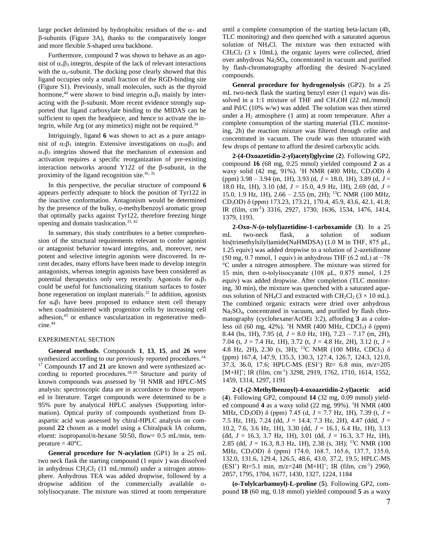large pocket delimited by hydrophobic residues of the  $\alpha$ - and  $\beta$ -subunits (Figure 3A), thanks to the comparatively longer and more flexible *S*-shaped urea backbone.

Furthermore, compound **7** was shown to behave as an agonist of  $\alpha_{\nu}\beta_3$  integrin, despite of the lack of relevant interactions with the  $\alpha_{v}$ -subunit. The docking pose clearly showed that this ligand occupies only a small fraction of the RGD-binding site (Figure S1). Previously, small molecules, such as the thyroid hormone,<sup>40</sup> were shown to bind integrin  $\alpha_{\nu} \beta_3$  mainly by interacting with the  $\beta$ -subunit. More recent evidence strongly supported that ligand carboxylate binding to the MIDAS can be sufficient to open the headpiece, and hence to activate the integrin, while Arg (or any mimetics) might not be required.<sup>34</sup>

Intriguingly, ligand **6** was shown to act as a pure antagonist of  $\alpha_5\beta_1$  integrin. Extensive investigations on  $\alpha_{\text{IIb}}\beta_3$  and  $\alpha_{\nu} \beta_3$  integrins showed that the mechanism of extension and activation requires a specific reorganization of pre-existing interaction networks around Y122 of the  $\beta$ -subunit, in the proximity of the ligand recognition site.<sup>41, 31</sup>

In this perspective, the peculiar structure of compound **6**  appears perfectly adequate to block the position of Tyr122 in the inactive conformation. Antagonism would be determined by the presence of the bulky, *o*-methylbenzoyl aromatic group that optimally packs against Tyr122, therefore freezing hinge opening and domain traslocation. 31, 42

In summary, this study contributes to a better comprehension of the structural requirements relevant to confer agonist or antagonist behavior toward integrins, and, moreover, new potent and selective integrin agonists were discovered. In recent decades, many efforts have been made to develop integrin antagonists, whereas integrin agonists have been considered as potential therapeutics only very recently. Agonists for  $\alpha_{\nu}\beta_3$ could be useful for functionalizing titanium surfaces to foster bone regeneration on implant materials.<sup>22</sup> In addition, agonists for  $\alpha_4\beta_1$  have been proposed to enhance stem cell therapy when coadministered with progenitor cells by increasing cell adhesion,<sup>43</sup> or enhance vascularization in regenerative medicine. 44

#### EXPERIMENTAL SECTION

**General methods**. Compounds **1**, **13**, **15**, and **26** were synthesized according to our previously reported procedures.<sup>14,</sup> <sup>17</sup> Compounds 17 and 21 are known and were synthesized according to reported procedures.<sup>18-20</sup> Structure and purity of known compounds was assessed by <sup>1</sup>H NMR and HPLC-MS analysis: spectroscopic data are in accordance to those reported in literature. Target compounds were determined to be ≥ 95% pure by analytical HPLC analyses (Supporting information). Optical purity of compounds synthetized from Daspartic acid was assessed by chiral-HPLC analysis on compound **22** chosen as a model using a Chiralpack IA column, eluent: isopropanol/n-hexane 50:50, flow= 0.5 mL/min, temperature  $=40^{\circ}$ C.

**General procedure for N-acylation** (GP1) In a 25 mL two neck flask the starting compound (1 equiv ) was dissolved in anhydrous  $CH_2Cl_2$  (11 mL/mmol) under a nitrogen atmosphere. Anhydrous TEA was added dropwise, followed by a dropwise addition of the commercially available otolylisocyanate. The mixture was stirred at room temperature

until a complete consumption of the starting beta-lactam (4h, TLC monitoring) and then quenched with a saturated aqueous solution of NH4Cl. The mixture was then extracted with  $CH_2Cl_2$  (3 x 10mL), the organic layers were collected, dried over anhydrous Na2SO4, concentrated in vacuum and purified by flash-chromatography affording the desired N-acylated compounds.

**General procedure for hydrogenolysis** (GP2). In a 25 mL two-neck flask the starting benzyl ester (1 equiv) was dissolved in a 1:1 mixture of THF and CH3OH (22 mL/mmol) and Pd/C (10% w/w) was added. The solution was then stirred under a  $H_2$  atmosphere (1 atm) at room temperature. After a complete consumption of the starting material (TLC monitoring, 2h) the reaction mixture was filtered through celite and concentrated in vacuum. The crude was then triturated with few drops of pentane to afford the desired carboxylic acids.

**2-(4-Oxoazetidin-2-yl)acetyl)glycine** (**2**). Following GP2, compound **16** (68 mg, 0.25 mmol) yielded compound **2** as a waxy solid (42 mg, 91%). <sup>1</sup>H NMR (400 MHz, CD<sub>3</sub>OD) δ (ppm) 3.98 – 3.94 (m, 1H), 3.93 (d, *J* = 18.0, 1H), 3.89 (d, *J* = 18.0 Hz, 1H), 3.10 (dd, *J* = 15.0, 4.9 Hz, 1H), 2.69 (dd, *J* = 15.0, 1.9 Hz, 1H), 2.66 – 2.55 (m, 2H); <sup>13</sup>C NMR (100 MHz, CD3OD) δ (ppm) 173.23, 173.21, 170.4, 45.9, 43.6, 42.1, 41.8; IR (film, cm-1 ) 3316, 2927, 1730, 1636, 1534, 1476, 1414, 1379, 1193.

**2-Oxo-***N***-(***o***-tolyl)azetidine-1-carboxamide** (**3**). In a 25 mL two-neck flask, a solution of sodium bis(trimethylsilyl)amide(NaHMDSA) (1.0 M in THF, 875 μL, 1.25 equiv) was added dropwise to a solution of 2-azetidinone (50 mg, 0.7 mmol, 1 equiv) in anhydrous THF (6.2 mL) at −78 °C under a nitrogen atmosphere. The mixture was stirred for 15 min, then o-tolylisocyanate (108 μL, 0.875 mmol, 1.25 equiv) was added dropwise. After completion (TLC monitoring, 30 min), the mixture was quenched with a saturated aqueous solution of NH<sub>4</sub>Cl and extracted with  $CH_2Cl_2$  (3 × 10 mL). The combined organic extracts were dried over anhydrous Na2SO4, concentrated in vacuum, and purified by flash chromatography (cyclohexane/AcOEt 3:2), affording **3** as a colorless oil (60 mg, 42%). <sup>1</sup>H NMR (400 MHz, CDCl<sub>3</sub>) δ (ppm) 8.44 (bs, 1H), 7.95 (d, *J* = 8.0 Hz, 1H), 7.23 – 7.17 (m, 2H), 7.04 (t, *J* = 7.4 Hz, 1H), 3.72 (t, *J* = 4.8 Hz, 2H), 3.12 (t, *J* = 4.8 Hz, 2H), 2.30 (s, 3H); <sup>13</sup>C NMR (100 MHz, CDCl<sub>3</sub>)  $\delta$ (ppm) 167.4, 147.9, 135.3, 130.3, 127.4, 126.7, 124.3, 121.0, 37.3, 36.0, 17.6; HPLC-MS (ESI<sup>+</sup>) Rt= 6.8 min, m/z=205 [M+H]<sup>+</sup>; IR (film, cm<sup>-1</sup>) 3298, 2919, 1762, 1710, 1614, 1552, 1459, 1314, 1297, 1191

**2-(1-(2-Methylbenzoyl)-4-oxoazetidin-2-yl)acetic acid** (**4**). Following GP2, compound **14** (32 mg, 0.09 mmol) yielded compound **4** as a waxy solid (22 mg, 99%). <sup>1</sup>H NMR (400 MHz, CD3OD) δ (ppm) 7.45 (d, *J* = 7.7 Hz, 1H), 7.39 (t, *J* = 7.5 Hz, 1H), 7.24 (dd, *J* = 14.4, 7.3 Hz, 2H), 4.47 (ddd, *J* = 10.2, 7.6, 3.6 Hz, 1H), 3.30 (dd, *J* = 16.1, 6.4 Hz, 1H), 3.13 (dd, *J* = 16.3, 3.7 Hz, 1H), 3.01 (dd, *J* = 16.3, 3.7 Hz, 1H), 2.85 (dd, *J* = 16.3, 8.3 Hz, 1H), 2.38 (s, 3H); <sup>13</sup>C NMR (100 MHz, CD<sub>3</sub>OD) δ (ppm) 174.0, 168.7, 165.6, 137.7, 135.0, 132.0, 131.6, 129.4, 126.5, 48.6, 43.0, 37.2, 19.5; HPLC-MS (ESI<sup>+</sup>) Rt=5.1 min, m/z=248 [M+H]<sup>+</sup>; IR (film, cm<sup>-1</sup>) 2960, 2857, 1795, 1704, 1677, 1430, 1327, 1224, 1184

**(***o***-Tolylcarbamoyl)-L-proline** (**5**). Following GP2, compound **18** (60 mg, 0.18 mmol) yielded compound **5** as a waxy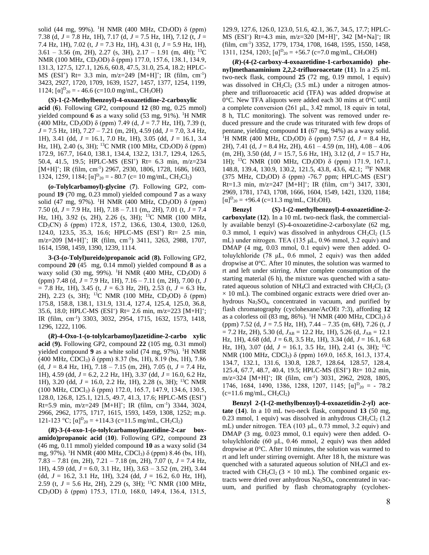solid (44 mg, 99%). <sup>1</sup>H NMR (400 MHz, CD<sub>3</sub>OD) δ (ppm) 7.38 (d, *J* = 7.8 Hz, 1H), 7.17 (d, *J* = 7.5 Hz, 1H), 7.12 (t, *J* = 7.4 Hz, 1H), 7.02 (t, *J* = 7.3 Hz, 1H), 4.31 (t, *J* = 5.9 Hz, 1H),  $3.61 - 3.56$  (m, 2H), 2.27 (s, 3H), 2.17 – 1.91 (m, 4H); <sup>13</sup>C NMR (100 MHz, CD3OD) δ (ppm) 177.0, 157.6, 138.1, 134.9, 131.3, 127.5, 127.1, 126.6, 60.8, 47.5, 31.0, 25.4, 18.2; HPLC-MS (ESI<sup>+</sup>) Rt= 3.3 min, m/z=249 [M+H]<sup>+</sup>; IR (film, cm<sup>-1</sup>) 3423, 2927, 1720, 1709, 1639, 1527, 1457, 1377, 1254, 1199,  $1124$ ;  $[\alpha]_{20}^D = -46.6$  (c=10.0 mg/mL, CH<sub>3</sub>OH)

#### **(***S***)-1-(2-Methylbenzoyl)-4-oxoazetidine-2-carboxylic**

**acid** (**6**). Following GP2, compound **12** (80 mg, 0.25 mmol) yielded compound 6 as a waxy solid (53 mg, 91%). <sup>1</sup>H NMR (400 MHz, CD3OD) δ (ppm) 7.49 (d, *J* = 7.7 Hz, 1H), 7.39 (t, *J* = 7.5 Hz, 1H), 7.27 – 7.21 (m, 2H), 4.59 (dd, *J* = 7.0, 3.4 Hz, 1H), 3.41 (dd, *J* = 16.1, 7.0 Hz, 1H), 3.05 (dd, *J* = 16.1, 3.4 Hz, 1H), 2.40 (s, 3H); <sup>13</sup>C NMR (100 MHz, CD<sub>3</sub>OD) δ (ppm) 172.9, 167.7, 164.0, 138.1, 134.4, 132.2, 131.7, 129.4, 126.5, 50.4, 41.5, 19.5; HPLC-MS (ESI<sup>+</sup>) Rt= 6.3 min, m/z=234 [M+H]<sup>+</sup>; IR (film, cm<sup>-1</sup>) 2967, 2930, 1806, 1728, 1686, 1603, 1324, 1259, 1184;  $[\alpha]_{20}^D = -80.7$  (c= 10 mg/mL, CH<sub>2</sub>Cl<sub>2</sub>)

**(***o***-Tolylcarbamoyl)-glycine** (**7**). Following GP2, compound **19** (70 mg, 0.23 mmol) yielded compound **7** as a waxy solid (47 mg, 97%). <sup>1</sup>H NMR (400 MHz, CD<sub>3</sub>OD) δ (ppm) 7.50 (d, *J* = 7.9 Hz, 1H), 7.18 – 7.11 (m,, 2H), 7.01 (t, *J* = 7.4 Hz, 1H), 3.92 (s, 2H), 2.26 (s, 3H); <sup>13</sup>C NMR (100 MHz, CD3CN) δ (ppm) 172.8, 157.2, 136.6, 130.4, 130.0, 126.0, 124.0, 123.5, 35.3, 16.6; HPLC-MS (ESI<sup>+</sup>) Rt= 2.5 min, m/z=209 [M+H]<sup>+</sup>; IR (film, cm<sup>-1</sup>) 3411, 3263, 2988, 1707, 1614, 1598, 1459, 1390, 1239, 1114.

**3-(3-(***o***-Tolyl)ureido)propanoic acid** (**8).** Following GP2, compound **20** (45 mg, 0.14 mmol) yielded compound **8** as a waxy solid (30 mg, 99%). <sup>1</sup>H NMR (400 MHz, CD<sub>3</sub>OD)  $\delta$ (ppm) 7.48 (d, *J* = 7.9 Hz, 1H), 7.16 – 7.11 (m, 2H), 7.00 (t, *J* = 7.8 Hz, 1H), 3.45 (t, *J* = 6.3 Hz, 2H), 2.53 (t, *J* = 6.3 Hz, 2H), 2.23 (s, 3H); <sup>13</sup>C NMR (100 MHz, CD3OD) δ (ppm) 175.8, 158.8, 138.1, 131.9, 131.4, 127.4, 125.4, 125.0, 36.8, 35.6, 18.0; HPLC-MS (ESI<sup>+</sup>) Rt= 2.6 min, m/z=223 [M+H]<sup>+</sup>; IR (film, cm-1 ) 3303, 3032, 2954, 1715, 1632, 1573, 1418, 1296, 1222, 1106.

**(***R***)-4-Oxo-1-(o-tolylcarbamoyl)azetidine-2-carbo xylic acid** (**9).** Following GP2, compound **22** (105 mg, 0.31 mmol) yielded compound 9 as a white solid (74 mg, 97%). <sup>1</sup>H NMR (400 MHz, CDCl<sub>3</sub>)  $\delta$  (ppm) 8.37 (bs, 1H), 8.19 (bs, 1H), 7.86 (d, *J* = 8.4 Hz, 1H), 7.18 – 7.15 (m, 2H), 7.05 (t, *J* = 7.4 Hz, 1H), 4.59 (dd, *J* = 6.2, 2.2 Hz, 1H), 3.37 (dd, *J* = 16.0, 6.2 Hz, 1H), 3.20 (dd, *J* = 16.0, 2.2 Hz, 1H), 2.28 (s, 3H); <sup>13</sup>C NMR (100 MHz, CDCl3) δ (ppm) 172.0, 165.7, 147.9, 134.6, 130.5, 128.0, 126.8, 125.1, 121.5, 49.7, 41.3, 17.6; HPLC-MS (ESI<sup>+</sup> )  $Rt=5.9$  min, m/z=249 [M+H]<sup>+</sup>; IR (film, cm<sup>-1</sup>) 3344, 3024, 2966, 2962, 1775, 1717, 1615, 1593, 1459, 1308, 1252; m.p. 121-123 °C; [α]<sup>D</sup><sub>20</sub> = +114.3 (c=11.5 mg/mL, CH<sub>2</sub>Cl<sub>2</sub>)

**(***R***)-3-(4-oxo-1-(***o***-tolylcarbamoyl)azetidine-2-car boxamido)propanoic acid** (**10**). Following GP2, compound **23** (46 mg, 0.11 mmol) yielded compound **10** as a waxy solid (34 mg, 97%). <sup>1</sup>H NMR (400 MHz, CDCl<sub>3</sub>) δ (ppm) 8.46 (bs, 1H), 7.83 – 7.81 (m, 2H), 7.21 – 7.18 (m, 2H), 7.07 (t, *J* = 7.4 Hz, 1H), 4.59 (dd, *J* = 6.0, 3.1 Hz, 1H), 3.63 – 3.52 (m, 2H), 3.44 (dd, *J* = 16.2, 3.1 Hz, 1H), 3.24 (dd, *J* = 16.2, 6.0 Hz, 1H), 2.59 (t,  $J = 5.6$  Hz, 2H), 2.29 (s, 3H); <sup>13</sup>C NMR (100 MHz, CD3OD) δ (ppm) 175.3, 171.0, 168.0, 149.4, 136.4, 131.5,

129.9, 127.6, 126.0, 123.0, 51.6, 42.1, 36.7, 34.5, 17.7; HPLC-MS (ESI<sup>+</sup>) Rt=4.3 min, m/z=320 [M+H]<sup>+</sup>, 342 [M+Na]<sup>+</sup>; IR (film, cm-1 ) 3352, 1779, 1734, 1708, 1648, 1595, 1550, 1458, 1311, 1254, 1203;  $[\alpha]_{20} = +56.7$  (c=7.0 mg/mL, CH<sub>3</sub>OH)

**(***R***)-(4-(2-carboxy-4-oxoazetidine-1-carboxamido) phenyl)methanaminium 2,2,2-trifluoroacetate** (**11**). In a 25 mL two-neck flask, compound **25** (72 mg, 0.19 mmol, 1 equiv) was dissolved in  $CH_2Cl_2$  (3.5 mL) under a nitrogen atmosphere and trifluoroacetic acid (TFA) was added dropwise at 0°C. New TFA aliquots were added each 30 mins at 0°C until a complete conversion (261 μL, 3.42 mmol, 18 equiv in total, 8 h, TLC monitoring). The solvent was removed under reduced pressure and the crude was triturated with few drops of pentane, yielding compound **11** (67 mg, 94%) as a waxy solid. <sup>1</sup>H NMR (400 MHz, CD<sub>3</sub>OD) δ (ppm) 7.57 (d,  $J = 8.4$  Hz, 2H), 7.41 (d, *J* = 8.4 Hz, 2H), 4.61 – 4.59 (m, 1H), 4.08 – 4.06 (m, 2H), 3.50 (dd, *J* = 15.7, 5.6 Hz, 1H), 3.12 (d, *J* = 15.7 Hz, 1H); <sup>13</sup>C NMR (100 MHz, CD3OD) δ (ppm) 171.9, 167.1, 148.8, 139.4, 130.9, 130.2, 121.5, 43.8, 43.6, 42.1; <sup>19</sup>F NMR (375 MHz, CD<sub>3</sub>OD) δ (ppm) -76.7 ppm; HPLC-MS (ESI<sup>+</sup>)  $Rt=1.3$  min, m/z=247 [M+H]<sup>+</sup>; IR (film, cm<sup>-1</sup>) 3417, 3301, 2969, 1781, 1743, 1708, 1666, 1604, 1549, 1421, 1320, 1184;  $[\alpha]_{20}^D$  = +96.4 (c=11.3 mg/mL, CH<sub>3</sub>OH).

**Benzyl (***S***)-1-(2-methylbenzoyl)-4-oxoazetidine-2 carboxylate** (**12**). In a 10 mL two-neck flask, the commercially available benzyl (*S*)-4-oxoazetidine-2-carboxylate (62 mg, 0.3 mmol, 1 equiv) was dissolved in anhydrous  $CH_2Cl_2$  (1.5 mL) under nitrogen. TEA (135 μL, 0.96 mmol, 3.2 equiv) and DMAP (4 mg, 0.03 mmol, 0.1 equiv) were then added. Otoluylchloride (78 μL, 0.6 mmol, 2 equiv) was then added dropwise at 0°C. After 10 minutes, the solution was warmed to rt and left under stirring. After complete consumption of the starting material (6 h), the mixture was quenched with a saturated aqueous solution of NH<sub>4</sub>Cl and extracted with  $CH_2Cl_2$  (3)  $\times$  10 mL). The combined organic extracts were dried over anhydrous  $Na<sub>2</sub>SO<sub>4</sub>$ , concentrated in vacuum, and purified by flash chromatography (cyclohexane/AcOEt 7:3), affording **12** as a colorless oil (83 mg, 86%). <sup>1</sup>H NMR (400 MHz, CDCl<sub>3</sub>)  $\delta$ (ppm) 7.52 (d, *J* = 7.5 Hz, 1H), 7.44 – 7.35 (m, 6H), 7.26 (t, *J*  $= 7.2$  Hz, 2H), 5.30 (d,  $J_{AB} = 12.2$  Hz, 1H), 5.26 (d,  $J_{AB} = 12.1$ Hz, 1H), 4.68 (dd, *J* = 6.8, 3.5 Hz, 1H), 3.34 (dd, *J* = 16.1, 6.8 Hz, 1H), 3.07 (dd,  $J = 16.1$ , 3.5 Hz, 1H), 2.41 (s, 3H); <sup>13</sup>C NMR (100 MHz, CDCl<sub>3</sub>) δ (ppm) 169.0, 165.8, 161.3, 137.4, 134.7, 132.1, 131.6, 130.8, 128.7, 128.64, 128.57, 128.4, 125.4, 67.7, 48.7, 40.4, 19.5; HPLC-MS (ESI<sup>+</sup>) Rt= 10.2 min, m/z=324 [M+H]<sup>+</sup>; IR (film, cm<sup>-1</sup>) 3031, 2962, 2928, 1805, 1746, 1684, 1490, 1386, 1288, 1207, 1145;  $[\alpha]_{20}^D = -78.2$  $(c=11.6 \text{ mg/mL}, CH_2Cl_2)$ 

**Benzyl 2-(1-(2-methylbenzoyl)-4-oxoazetidin-2-yl) acetate** (**14**). In a 10 mL two-neck flask, compound **13** (50 mg, 0.23 mmol, 1 equiv) was dissolved in anhydrous  $CH_2Cl_2$  (1.2) mL) under nitrogen. TEA (103 μL, 0.73 mmol, 3.2 equiv) and DMAP (3 mg, 0.023 mmol, 0.1 equiv) were then added. Otoluylchloride (60 μL, 0.46 mmol, 2 equiv) was then added dropwise at 0°C. After 10 minutes, the solution was warmed to rt and left under stirring overnight. After 18 h, the mixture was quenched with a saturated aqueous solution of NH4Cl and extracted with  $CH_2Cl_2$  (3  $\times$  10 mL). The combined organic extracts were dried over anhydrous Na<sub>2</sub>SO<sub>4</sub>, concentrated in vacuum, and purified by flash chromatography (cyclohex-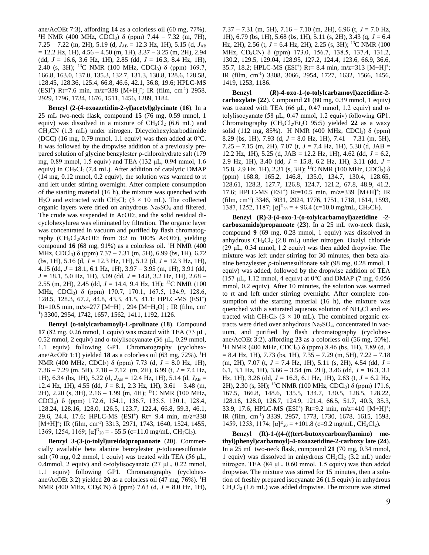ane/AcOEt 7:3), affording **14** as a colorless oil (60 mg, 77%). <sup>1</sup>H NMR (400 MHz, CDCl<sub>3</sub>) δ (ppm) 7.44 – 7.32 (m, 7H), 7.25 – 7.22 (m, 2H), 5.19 (d,  $J_{AB}$  = 12.3 Hz, 1H), 5.15 (d,  $J_{AB}$  $= 12.2$  Hz, 1H),  $4.56 - 4.50$  (m, 1H),  $3.37 - 3.25$  (m, 2H), 2.94 (dd, *J* = 16.6, 3.6 Hz, 1H), 2.85 (dd, *J* = 16.3, 8.4 Hz, 1H), 2.40 (s, 3H); <sup>13</sup>C NMR (100 MHz, CDCl<sub>3</sub>)  $\delta$  (ppm) 169.7, 166.8, 163.0, 137.0, 135.3, 132.7, 131.3, 130.8, 128.6, 128.58, 128.45, 128.36, 125.4, 66.8, 46.6, 42.1, 36.8, 19.6; HPLC-MS  $(ESI<sup>+</sup>)$  Rt=7.6 min, m/z=338 [M+H]<sup>+</sup>; IR (film, cm<sup>-1</sup>) 2958, 2929, 1796, 1734, 1676, 1511, 1456, 1289, 1184.

**Benzyl (2-(4-oxoazetidin-2-yl)acetyl)glycinate** (**16**). In a 25 mL two-neck flask, compound **15** (76 mg, 0.59 mmol, 1 equiv) was dissolved in a mixture of  $CH_2Cl_2$  (6.6 mL) and CH3CN (1.3 mL) under nitrogen. Dicyclohexylcarbodiimide (DCC) (16 mg, 0.79 mmol, 1.1 equiv) was then added at  $0^{\circ}$ C. It was followed by the dropwise addition of a previously prepared solution of glycine benzylester p-chlorohydrate salt (179 mg, 0.89 mmol, 1.5 equiv) and TEA (132 μL, 0.94 mmol, 1.6 equiv) in  $CH_2Cl_2$  (7.4 mL). After addition of catalytic DMAP (14 mg, 0.12 mmol, 0.2 equiv), the solution was warmed to rt and left under stirring overnight. After complete consumption of the starting material (16 h), the mixture was quenched with H<sub>2</sub>O and extracted with CH<sub>2</sub>Cl<sub>2</sub> ( $3 \times 10$  mL). The collected organic layers were dried on anhydrous  $Na<sub>2</sub>SO<sub>4</sub>$  and filtered. The crude was suspended in AcOEt, and the solid residual dicyclohexylurea was eliminated by filtration. The organic layer was concentrated in vacuum and purified by flash chromatography  $\rm (CH_2Cl_2/ACOH$  from 3:2 to 100% AcOEt), yielding compound  $16$  (68 mg, 91%) as a colorless oil. <sup>1</sup>H NMR (400) MHz, CDCl<sub>3</sub>)  $\delta$  (ppm) 7.37 – 7.31 (m, 5H), 6.99 (bs, 1H), 6.72 (bs, 1H), 5.16 (d, *J* = 12.3 Hz, 1H), 5.12 (d, *J* = 12.3 Hz, 1H), 4.15 (dd, *J* = 18.1, 6.1 Hz, 1H), 3.97 – 3.95 (m, 1H), 3.91 (dd, *J* = 18.1, 5.0 Hz, 1H), 3.09 (dd, *J* = 14.8, 3.2 Hz, 1H), 2.68 – 2.55 (m, 2H), 2.45 (dd, *J* = 14.4, 9.4 Hz, 1H); <sup>13</sup>C NMR (100 MHz, CDCl3) δ (ppm) 170.7, 170.1, 167.5, 134.9, 128.6, 128.5, 128.3, 67.2, 44.8, 43.3, 41.5, 41.1; HPLC-MS (ESI<sup>+</sup> ) Rt=10.5 min, m/z=277 [M+H]<sup>+</sup>, 294 [M+H<sub>2</sub>O]<sup>+</sup>; IR (film, cm<sup>-</sup> 1 ) 3300, 2954, 1742, 1657, 1562, 1411, 1192, 1126.

**Benzyl (o-tolylcarbamoyl)-L-prolinate** (**18**). Compound **17** (82 mg, 0.26 mmol, 1 equiv) was treated with TEA (73 μL, 0.52 mmol, 2 equiv) and o-tolylisocyanate (36 μL, 0.29 mmol, 1.1 equiv) following GP1. Chromatography (cyclohexane/AcOEt 1:1) yielded **18** as a colorless oil (63 mg, 72%). <sup>1</sup>H NMR (400 MHz, CDCl3) δ (ppm) 7.73 (d, *J* = 8.0 Hz, 1H), 7.36 – 7.29 (m, 5H), 7.18 – 7.12 (m, 2H), 6.99 (t, *J* = 7.4 Hz, 1H), 6.34 (bs, 1H), 5.22 (d, *J*AB = 12.4 Hz, 1H), 5.14 (d, *J*AB = 12.4 Hz, 1H), 4.55 (dd, *J* = 8.1, 2.3 Hz, 1H), 3.61 – 3.48 (m, 2H), 2.20 (s, 3H), 2.16 – 1.99 (m, 4H); <sup>13</sup>C NMR (100 MHz, CDCl3) δ (ppm) 172.6, 154.1, 136.7, 135.5, 130.1, 128.4, 128.24, 128.16, 128.0, 126.5, 123.7, 122.4, 66.8, 59.3, 46.1, 29.6, 24.4, 17.6; HPLC-MS (ESI<sup>+</sup>) Rt= 9.4 min, m/z=338  $[M+H]^+$ ; IR (film, cm<sup>-1</sup>) 3313, 2971, 1743, 1640, 1524, 1455, 1369, 1254, 1169;  $[\alpha]_{20} = -55.5$  (c=11.0 mg/mL, CH<sub>2</sub>Cl<sub>2</sub>).

**Benzyl 3-(3-(o-tolyl)ureido)propanoate** (**20**). Commercially available beta alanine benzylester *p*-toluenesulfonate salt (70 mg, 0.2 mmol, 1 equiv) was treated with TEA (56  $\mu$ L, 0.4mmol, 2 equiv) and o-tolylisocyanate (27 μL, 0.22 mmol, 1.1 equiv) following GP1. Chromatography (cyclohexane/AcOEt 3:2) yielded **20** as a colorless oil  $(47 \text{ mg}, 76\%)$ . <sup>1</sup>H NMR (400 MHz, CD3CN) δ (ppm) 7.63 (d, *J* = 8.0 Hz, 1H),

 $7.37 - 7.31$  (m, 5H),  $7.16 - 7.10$  (m, 2H), 6.96 (t,  $J = 7.0$  Hz, 1H), 6.79 (bs, 1H), 5.68 (bs, 1H), 5.11 (s, 2H), 3.43 (q, *J* = 6.4 Hz, 2H), 2.56 (t,  $J = 6.4$  Hz, 2H), 2.25 (s, 3H); <sup>13</sup>C NMR (100 MHz, CD<sub>3</sub>CN) δ (ppm) 173.0, 156.7, 138.5, 137.4, 131.2, 130.2, 129.5, 129.04, 128.95, 127.2, 124.4, 123.6, 66.9, 36.6, 35.7, 18.2; HPLC-MS (ESI<sup>+</sup>) Rt= 8.4 min, m/z=313 [M+H]<sup>+</sup>; IR (film, cm-1 ) 3308, 3066, 2954, 1727, 1632, 1566, 1456, 1419, 1253, 1186.

**Benzyl (***R***)-4-oxo-1-(o-tolylcarbamoyl)azetidine-2 carboxylate** (**22**). Compound **21** (80 mg, 0.39 mmol, 1 equiv) was treated with TEA (66 μL, 0.47 mmol, 1.2 equiv) and otolylisocyanate (58 μL, 0.47 mmol, 1.2 equiv) following GP1. Chromatography (CH<sub>2</sub>Cl<sub>2</sub>/Et<sub>2</sub>O 95:5) yielded 22 as a waxy solid (112 mg, 85%). <sup>1</sup>H NMR (400 MHz, CDCl<sub>3</sub>) δ (ppm) 8.29 (bs, 1H), 7.93 (d, *J* = 8.0 Hz, 1H), 7.41 – 7.31 (m, 5H),  $7.25 - 7.15$  (m, 2H),  $7.07$  (t,  $J = 7.4$  Hz, 1H),  $5.30$  (d, JAB = 12.2 Hz, 1H), 5.25 (d, JAB = 12.2 Hz, 1H), 4.62 (dd, *J* = 6.2, 2.9 Hz, 1H), 3.40 (dd, *J* = 15.8, 6.2 Hz, 1H), 3.11 (dd, *J* = 15.8, 2.9 Hz, 1H), 2.31 (s, 3H); <sup>13</sup>C NMR (100 MHz, CDCl3) δ (ppm) 168.8, 165.2, 146.8, 135.0, 134.7, 130.4, 128.65, 128.61, 128.3, 127.7, 126.8, 124.7, 121.2, 67.8, 48.9, 41.2, 17.6; HPLC-MS (ESI<sup>+</sup>) Rt=10.5 min, m/z=339 [M+H]<sup>+</sup>; IR (film, cm-1 ) 3346, 3031, 2924, 1776, 1751, 1718, 1614, 1593, 1387, 1252, 1187;  $[\alpha]_{20} = +96.4$  (c=10.0 mg/mL, CH<sub>2</sub>Cl<sub>2</sub>).

**Benzyl (R)-3-(4-oxo-1-(o-tolylcarbamoyl)azetidine -2 carboxamido)propanoate** (**23**). In a 25 mL two-neck flask, compound **9** (69 mg, 0.28 mmol, 1 equiv) was dissolved in anhydrous  $CH_2Cl_2$  (2.8 mL) under nitrogen. Oxalyl chloride (29 μL, 0.34 mmol, 1.2 equiv) was then added dropwise. The mixture was left under stirring for 30 minutes, then beta alanine benzylester *p*-toluenesulfonate salt (98 mg, 0.28 mmol, 1 equiv) was added, followed by the dropwise addition of TEA (157  $\mu$ L, 1.12 mmol, 4 equiv) at 0°C and DMAP (7 mg, 0.056) mmol, 0.2 equiv). After 10 minutes, the solution was warmed to rt and left under stirring overnight. After complete consumption of the starting material (16 h), the mixture was quenched with a saturated aqueous solution of NH4Cl and extracted with  $CH_2Cl_2$  (3  $\times$  10 mL). The combined organic extracts were dried over anhydrous Na2SO4, concentrated in vacuum, and purified by flash chromatography (cyclohexane/AcOEt 3:2), affording **23** as a colorless oil (56 mg, 50%). <sup>1</sup>H NMR (400 MHz, CDCl3) δ (ppm) 8.46 (bs, 1H), 7.89 (d, *J*  $= 8.4$  Hz, 1H), 7.73 (bs, 1H), 7.35 – 7.29 (m, 5H), 7.22 – 7.18 (m, 2H), 7.07 (t, *J* = 7.4 Hz, 1H), 5.11 (s, 2H), 4.54 (dd, *J* = 6.1, 3.1 Hz, 1H), 3.66 – 3.54 (m, 2H), 3.46 (dd, *J* = 16.3, 3.1 Hz, 1H), 3.26 (dd, *J* = 16.3, 6.1 Hz, 1H), 2.63 (t, *J* = 6.2 Hz, 2H), 2.30 (s, 3H); <sup>13</sup>C NMR (100 MHz, CDCl3) δ (ppm) 171.6, 167.5, 166.8, 148.6, 135.5, 134.7, 130.5, 128.5, 128.22, 128.16, 128.0, 126.7, 124.9, 121.4, 66.5, 51.7, 40.3, 35.3, 33.9, 17.6; HPLC-MS (ESI<sup>+</sup>) Rt=9.2 min, m/z=410 [M+H]<sup>+</sup>; IR (film, cm-1 ) 3339, 2957, 1773, 1730, 1678, 1615, 1593, 1459, 1253, 1174;  $[\alpha]_{20}^D = +101.8$  (c=9.2 mg/mL, CH<sub>2</sub>Cl<sub>2</sub>).

**Benzyl (R)-1-((4-(((tert-butoxycarbonyl)amino) methyl)phenyl)carbamoyl)-4-oxoazetidine-2-carboxy late** (**24**). In a 25 mL two-neck flask, compound **21** (70 mg, 0.34 mmol, 1 equiv) was dissolved in anhydrous  $CH_2Cl_2$  (3.2 mL) under nitrogen. TEA (84 μL, 0.60 mmol, 1.5 equiv) was then added dropwise. The mixture was stirred for 15 minutes, then a solution of freshly prepared isocyanate 26 (1.5 equiv) in anhydrous  $CH<sub>2</sub>Cl<sub>2</sub>$  (1.6 mL) was added dropwise. The mixture was stirred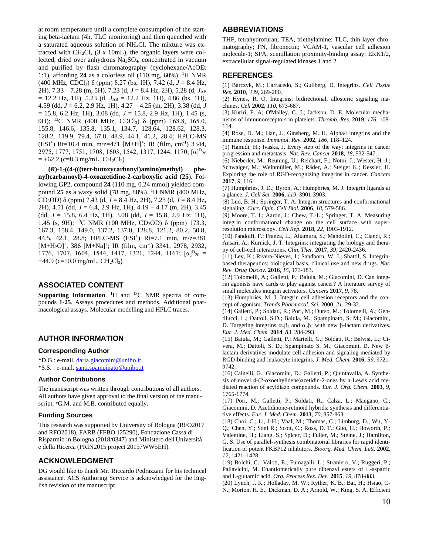at room temperature until a complete consumption of the starting beta-lactam (4h, TLC monitoring) and then quenched with a saturated aqueous solution of NH4Cl. The mixture was extracted with  $CH_2Cl_2$  (3 x 10mL), the organic layers were collected, dried over anhydrous Na2SO4, concentrated in vacuum and purified by flash chromatography (cyclohexane/AcOEt 1:1), affording  $24$  as a colorless oil (110 mg,  $60\%$ ). <sup>1</sup>H NMR (400 MHz, CDCl<sub>3</sub>)  $\delta$  (ppm) 8.27 (bs, 1H), 7.42 (d,  $J = 8.4$  Hz, 2H), 7.33 – 7.28 (m, 5H), 7.23 (d, *J* = 8.4 Hz, 2H), 5.28 (d, *J*AB  $= 12.2$  Hz, 1H), 5.23 (d,  $J_{AB} = 12.2$  Hz, 1H), 4.86 (bs, 1H), 4.59 (dd, *J* = 6.2, 2.9 Hz, 1H), 4.27 – 4.25 (m, 2H), 3.38 (dd, *J* = 15.8, 6.2 Hz, 1H), 3.08 (dd, *J* = 15.8, 2.9 Hz, 1H), 1.45 (s, 9H); <sup>13</sup>C NMR (400 MHz, CDCl<sub>3</sub>) δ (ppm) 168.8, 165.0, 155.8, 146.6, 135.8, 135.1, 134.7, 128.64, 128.62, 128.3, 128.2, 119.9, 79.4, 67.8, 48.9, 44.1, 41.2, 28.4; HPLC-MS  $(ESI<sup>+</sup>)$  Rt=10.4 min, m/z=471 [M+H]<sup>+</sup>; IR (film, cm<sup>-1</sup>) 3344, 2975, 1777, 1751, 1708, 1603, 1542, 1317, 1244, 1170; [ $\alpha$ ]<sup>D</sup><sub>20</sub>  $= +62.2$  (c=8.3 mg/mL, CH<sub>2</sub>Cl<sub>2</sub>)

**(***R***)-1-((4-(((tert-butoxycarbonyl)amino)methyl) phenyl)carbamoyl)-4-oxoazetidine-2-carboxylic acid** (**25**). Following GP2, compound **24** (110 mg, 0.24 mmol) yielded compound 25 as a waxy solid (78 mg, 88%). <sup>1</sup>H NMR (400 MHz, CD3OD) δ (ppm) 7.43 (d, *J* = 8.4 Hz, 2H), 7.23 (d, *J* = 8.4 Hz, 2H), 4.51 (dd, *J* = 6.4, 2.9 Hz, 1H), 4.19 – 4.17 (m, 2H), 3.45 (dd, *J* = 15.8, 6.4 Hz, 1H), 3.08 (dd, *J* = 15.8, 2.9 Hz, 1H), 1.45 (s, 9H); <sup>13</sup>C NMR (100 MHz, CD<sub>3</sub>OD) δ (ppm) 173.3, 167.3, 158.4, 149.0, 137.2, 137.0, 128.8, 121.2, 80.2, 50.8, 44.5, 42.1, 28.8; HPLC-MS (ESI<sup>+</sup> ) Rt=7.1 min, m/z=381 [M+H<sub>2</sub>O]<sup>+</sup>, 386 [M+Na]<sup>+</sup>; IR (film, cm<sup>-1</sup>) 3341, 2978, 2932, 1776, 1707, 1604, 1544, 1417, 1321, 1244, 1167;  $[\alpha]_{20}^D =$  $+44.9$  (c=10.0 mg/mL, CH<sub>2</sub>Cl<sub>2</sub>)

## **ASSOCIATED CONTENT**

**Supporting Information.** <sup>1</sup>H and <sup>13</sup>C NMR spectra of compounds **1-25**. Assays procedures and methods. Additional pharmacological assays. Molecular modelling and HPLC traces.

### **AUTHOR INFORMATION**

#### **Corresponding Author**

\*D.G.: e-mail, [daria.giacomini@unibo.it.](mailto:daria.giacomini@unibo.it) \*S.S. : e-mail[, santi.spampinato@unibo.it](mailto:santi.spampinato@unibo.it)

#### **Author Contributions**

The manuscript was written through contributions of all authors. All authors have given approval to the final version of the manuscript. <sup>≠</sup>G.M. and M.B. contributed equally.

#### **Funding Sources**

This research was supported by University of Bologna (RFO2017 and RFO2018), FARB (FFBO 125290), Fondazione Cassa di Risparmio in Bologna (2018/0347) and Ministero dell'Università e della Ricerca (PRIN2015 project 20157WW5EH).

#### **ACKNOWLEDGMENT**

DG would like to thank Mr. Riccardo Pedrazzani for his technical assistance. ACS Authoring Service is acknowledged for the English revision of the manuscript.

#### **ABBREVIATIONS**

THF, tetrahydrofuran; TEA, triethylamine; TLC, thin layer chromatography; FN, fibronectin; VCAM-1, vascular cell adhesion molecule-1; SPA, scintillation proximity-binding assay; ERK1/2, extracellular signal-regulated kinases 1 and 2.

#### **REFERENCES**

(1) Barczyk, M.; Carracedo, S.; Gullberg, D. Integrins. *Cell Tissue Res.* **2010**, *339*, 269-280.

(2) Hynes, R. O. Integrins: bidirectional, allosteric signaling machines. *Cell* **2002**, *110*, 673-687.

(3) Kuriri, F. A; O'Malley, C. J.; Jackson, D. E. Molecular mechanisms of immunoreceptors in platelets. *Thromb. Res.* **2019**, *176*, 108- 114.

(4) Rose, D. M.; Han, J.; Ginsberg, M. H. Alpha4 integrins and the immune response. *Immunol. Rev.* **2002**, *186*, 118–124.

(5) Hamidi, H.; Ivaska, J. Every step of the way: integrins in cancer progression and metastasis. *Nat. Rev. Cancer* **2018**, *18*, 532-547.

(6) Nieberler, M.; Reuning, U.; Reichart, F.; Notni, J.; Wester, H.-J.; Schwaiger, M.; Weinmüller, M.; Räder, A.; Steiger K.; Kessler, H. Exploring the role of RGD-recognizing integrins in cancer. *Cancers* **2017**, *9*, 116.

(7) Humphries, J. D.; Byron, A.; Humphries, M. J. Integrin ligands at a glance. *J. Cell Sci.* **2006**, *119*, 3901-3903.

(8) Luo, B. H.; Springer, T. A. Integrin structures and conformational signaling. *Curr. Opin. Cell Biol.* **2006**, *18*, 579-586.

(9) Moore, T. I.; Aaron, J.; Chew, T.-L.; Springer, T. A. Measuring integrin conformational change on the cell surface with superresolution microscopy. *Cell Rep.* **2018**, *22*, 1903-1912.

(10) Pandolfi, F.; Franza, L.; Altamura, S.; Mandolini, C.; Cianci, R.; Ansari, A.; Kurnick, J. T. Integrins: integrating the biology and therapy of cell-cell interactions. *Clin. Ther.* **2017**, *39*, 2420-2436.

(11) Ley, K.; Rivera-Nieves, J.; Sandborn, W. J.; Shattil, S. Integrinbased therapeutics: biological basis, clinical use and new drugs. *Nat. Rev. Drug Discov.* **2016**, *15*, 173-183.

(12) Tolomelli, A.; Galletti, P.; Baiula, M.; Giacomini, D. Can integrin agonists have cards to play against cancer? A literature survey of small molecules integrin activators. *Cancers* **2017**, *9*, 78.

(13) Humphries, M. J. Integrin cell adhesion receptors and the concept of agonism. *Trends Pharmacol. Sci.* **2000**, *21*, 29-32.

(14) Galletti, P.; Soldati, R.; Pori, M.; Durso, M.; Tolomelli, A.; Gentilucci, L.; Dattoli, S.D.; Baiula, M.; Spampinato, S. M.; Giacomini, D. Targeting integrins  $\alpha_{\nu}\beta_3$  and  $\alpha_5\beta_1$  with new  $\beta$ -lactam derivatives. *Eur. J. Med. Chem.* **2014**, *83*, 284-293.

(15) Baiula, M.; Galletti, P.; Martelli, G.; Soldati, R.; Belvisi, L.; Civera, M.; Dattoli, S. D.; Spampinato S. M.; Giacomini, D. New βlactam derivatives modulate cell adhesion and signaling mediated by RGD-binding and leukocyte integrins. *J. Med. Chem.* **2016**, *59*, 9721- 9742.

(16) Cainelli, G.; Giacomini, D.; Galletti, P.; Quintavalla, A. Synthesis of novel 4-(2-oxoethylidene)azetidin-2-ones by a Lewis acid mediated reaction of acyldiazo compounds. *Eur. J. Org. Chem.* **2003**, *9*, 1765-1774.

(17) Pori, M.; Galletti, P.; Soldati, R.; Calza, L.; Mangano, C.; Giacomini, D. Azetidinone-retinoid hybrids: synthesis and differentiative effects. *Eur. J. Med. Chem.* **2013**, *70*, 857-863.

(18) Choi, C.; Li, J-H.; Vaal, M.; Thomas, C.; Limburg, D.; Wu, Y-Q.; Chen, Y.; Soni R.; Scott, C.; Ross, D. T.; Guo, H.; Howorth, P.; Valentine, H.; Liang, S.; Spicer, D.; Fuller, M.; Steine, J.; Hamilton, G. S. Use of parallel-synthesis combinatorial libraries for rapid identification of potent FKBP12 inhibitors. *Bioorg. Med. Chem. Lett.* **2002**, *12*, 1421–1428.

(19) Bolchi, C.; Valoti, E.; Fumagalli, L.; Straniero, V.; Ruggeri, P.; Pallavicini, M. Enantiomerically pure dibenzyl esters of L-aspartic and L-glutamic acid. *Org. Process Res. Dev.* **2015**, *19*, 878-883.

(20) Lynch, J. K.; Holladay, M. W.; Ryther, K. B.; Bai, H.; Hsiao, C-N.; Morton, H. E.; Dickman, D. A.; Arnold, W.; King, S. A. Efficient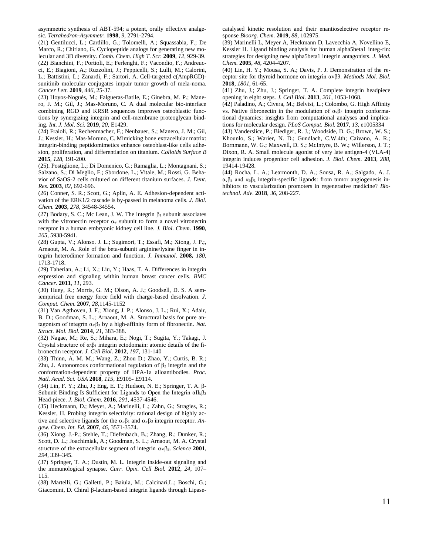asymmetric synthesis of ABT-594; a potent, orally effective analgesic. *Tetrahedron-Asymmetr.* **1998**, *9*, 2791-2794.

(21) Gentilucci, L.; Cardillo, G.; Tolomelli, A.; Squassabia, F.; De Marco, R.; Chiriano, G. Cyclopeptide analogs for generating new molecular and 3D diversity. *Comb. Chem. High T. Scr.* **2009**, *12*, 929-39. (22) Bianchini, F.; Portioli, E.; Ferlenghi, F.; Vacondio, F.; Andreucci, E.; Biagioni, A.; Ruzzolini, J.; Peppicelli, S.; Lulli, M.; Calorini, L.; Battistini, L.; Zanardi, F.; Sartori, A. Cell-targeted c(AmpRGD) sunitinib molecular conjugates impair tumor growth of mela-noma. *Cancer Lett.* **2019**, *446*, 25-37.

(23) Hoyos-Nogués, M.; Falgueras-Batlle, E.; Ginebra, M. P.; Manero, J. M.; Gil, J.; Mas-Moruno, C. A dual molecular bio-interface combining RGD and KRSR sequences improves osteoblastic functions by synergizing integrin and cell-membrane proteoglycan binding. *Int. J. Mol. Sci.* **2019**, *20*, E1429.

(24) Fraioli, R.; Rechenmacher, F,; Neubauer, S.; Manero, J. M.; Gil, J.; Kessler, H.; Mas-Moruno, C. Mimicking bone extracellular matrix: integrin-binding peptidomimetics enhance osteoblast-like cells adhesion, proliferation, and differentiation on titanium. *Colloids Surface B*  **2015**, *128*, 191-200.

(25). Postiglione, L.; Di Domenico, G.; Ramaglia, L.; Montagnani, S.; Salzano, S.; Di Meglio, F.; Sbordone, L.; Vitale, M.; Rossi, G. Behavior of SaOS-2 cells cultured on different titanium surfaces. *J. Dent. Res.* **2003**, *82*, 692-696.

(26) Conner, S. R.; Scott, G.; Aplin, A. E. Adhesion-dependent activation of the ERK1/2 cascade is by-passed in melanoma cells. *J. Biol. Chem.* **2003**, *278*, 34548-34554.

(27) Bodary, S. C.; Mc Lean, J. W. The integrin  $\beta_1$  subunit associates with the vitronectin receptor  $\alpha$ <sub>v</sub> subunit to form a novel vitronectin receptor in a human embryonic kidney cell line. *J. Biol. Chem.* **1990**, *265*, 5938-5941.

(28) Gupta, V.; Alonso. J. L.; Sugimori, T.; Essafi, M.; Xiong, J. P.;, Arnaout, M. A. Role of the beta-subunit arginine/lysine finger in integrin heterodimer formation and function. *J. Immunol.* **2008,** *180*, 1713-1718.

(29) Taherian, A.; Li, X.; Liu, Y.; Haas, T. A. Differences in integrin expression and signaling within human breast cancer cells. *BMC Cancer*. **2011**, *11*, 293.

(30) Huey, R.; Morris, G. M.; Olson, A. J.; Goodsell, D. S. A semiempirical free energy force field with charge-based desolvation. *J. Comput. Chem*. **2007**, *28*,1145-1152

(31) Van Agthoven, J. F.; Xiong, J. P.; Alonso, J. L.; Rui, X.; Adair, B. D.; Goodman, S. L.; Arnaout, M. A. Structural basis for pure antagonism of integrin α<sub>V</sub>β<sub>3</sub> by a high-affinity form of fibronectin. *Nat. Struct. Mol. Biol.* **2014**, *21*, 383-388.

(32) Nagae, M.; Re, S.; Mihara, E.; Nogi, T.; Sugita, Y.; Takagi, J. Crystal structure of  $\alpha_5\beta_1$  integrin ectodomain: atomic details of the fibronectin receptor. *J. Cell Biol.* **2012**, *197*, 131-140

(33) Thinn, A. M. M.; Wang, Z.; Zhou D.; Zhao, Y.; Curtis, B. R.; Zhu, J. Autonomous conformational regulation of  $β_3$  integrin and the conformation-dependent property of HPA-1a alloantibodies. *Proc. Natl. Acad. Sci. USA* **2018**, *115*, E9105- E9114.

(34) Lin, F. Y.; Zhu, J.; Eng, E. T.; Hudson, N. E.; Springer, T. A. β-Subunit Binding Is Sufficient for Ligands to Open the Integrin  $\alpha II_b\beta_3$ Head-piece. *J. Biol. Chem.* **2016**, *291*, 4537-4546.

(35) Heckmann, D.; Meyer, A.; Marinelli, L.; Zahn, G.; Stragies, R.; Kessler, H. Probing integrin selectivity: rational design of highly active and selective ligands for the  $\alpha_5\beta_1$  and  $\alpha_v\beta_3$  integrin receptor. *Angew. Chem. Int. Ed.* **2007**, *46*, 3571-3574.

(36) Xiong. J.-P.; Stehle, T.; Diefenbach, B.; Zhang, R.; Dunker, R.; Scott, D. L.; Joachimiak, A.; Goodman, S. L.; Arnaout, M. A. Crystal structure of the extracellular segment of integrin  $\alpha \beta$ <sub>3</sub>. *Science* **2001**, *294*, 339–345.

(37) Springer, T. A.; Dustin, M. L. Integrin inside-out signaling and the immunological synapse. *Curr. Opin. Cell Biol.* **2012**, *24*, 107– 115.

(38) Martelli, G.; Galletti, P.; Baiula, M.; Calcinari,L.; Boschi, G.; Giacomini, D. Chiral  $\beta$ -lactam-based integrin ligands through Lipasecatalysed kinetic resolution and their enantioselective receptor response *Bioorg. Chem.* **2019**, *88*, 102975.

(39) Marinelli L, Meyer A, Heckmann D, Lavecchia A, Novellino E, Kessler H. Ligand binding analysis for human alpha5beta1 integ-rin: strategies for designing new alpha5beta1 integrin antagonists. *J. Med. Chem.* **2005**, *48*, 4204-4207.

(40) Lin, H. Y.; Mousa, S. A.; Davis, P. J. Demonstration of the receptor site for thyroid hormone on integrin αvβ3. *Methods Mol. Biol.*  **2018**, *1801*, 61-65.

(41) Zhu, J.; Zhu, J.; Springer, T. A. Complete integrin headpiece opening in eight steps. *J. Cell Biol.* **2013**, *201*, 1053-1068.

(42) Paladino, A.; Civera, M.; Belvisi, L.; Colombo, G. High Affinity vs. Native fibronectin in the modulation of  $α<sub>v</sub>β<sub>3</sub>$  integrin conformational dynamics: insights from computational analyses and implications for molecular design. *PLoS Comput. Biol.* **2017**, *13*, e1005334

(43) Vanderslice, P.; Biediger, R. J.; Woodside, D. G.; Brown, W. S.; Khounlo, S.; Warier, N. D.; Gundlach, C.W.4th; Caivano, A. R.; Bornmann, W. G.; Maxwell, D. S.; McIntyre, B. W.; Willerson, J. T.; Dixon, R. A. Small molecule agonist of very late antigen-4 (VLA-4) integrin induces progenitor cell adhesion. *J. Biol. Chem.* **2013**, *288*, 19414-19428.

(44) Rocha, L. A.; Learmonth, D. A.; Sousa, R. A.; Salgado, A. J.  $\alpha_{\nu} \beta_3$  and  $\alpha_5 \beta_1$  integrin-specific ligands: from tumor angiogenesis inhibitors to vascularization promoters in regenerative medicine? *Biotechnol. Adv*. **2018**, *36*, 208-227.